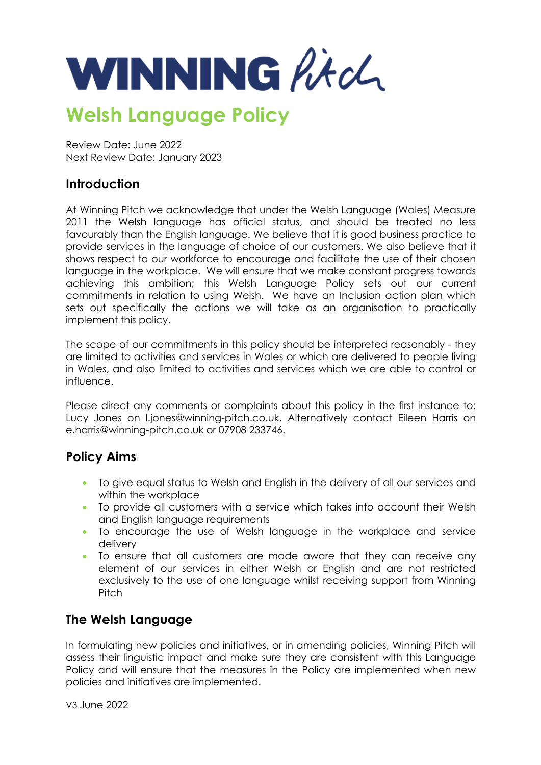

# **Welsh Language Policy**

Review Date: June 2022 Next Review Date: January 2023

# **Introduction**

At Winning Pitch we acknowledge that under the Welsh Language (Wales) Measure 2011 the Welsh language has official status, and should be treated no less favourably than the English language. We believe that it is good business practice to provide services in the language of choice of our customers. We also believe that it shows respect to our workforce to encourage and facilitate the use of their chosen language in the workplace. We will ensure that we make constant progress towards achieving this ambition; this Welsh Language Policy sets out our current commitments in relation to using Welsh. We have an Inclusion action plan which sets out specifically the actions we will take as an organisation to practically implement this policy.

The scope of our commitments in this policy should be interpreted reasonably - they are limited to activities and services in Wales or which are delivered to people living in Wales, and also limited to activities and services which we are able to control or influence.

Please direct any comments or complaints about this policy in the first instance to: Lucy Jones on l.jones@winning-pitch.co.uk. Alternatively contact Eileen Harris on e.harris@winning-pitch.co.uk or 07908 233746.

# **Policy Aims**

- To give equal status to Welsh and English in the delivery of all our services and within the workplace
- To provide all customers with a service which takes into account their Welsh and English language requirements
- To encourage the use of Welsh language in the workplace and service delivery
- To ensure that all customers are made aware that they can receive any element of our services in either Welsh or English and are not restricted exclusively to the use of one language whilst receiving support from Winning Pitch

# **The Welsh Language**

In formulating new policies and initiatives, or in amending policies, Winning Pitch will assess their linguistic impact and make sure they are consistent with this Language Policy and will ensure that the measures in the Policy are implemented when new policies and initiatives are implemented.

V3 June 2022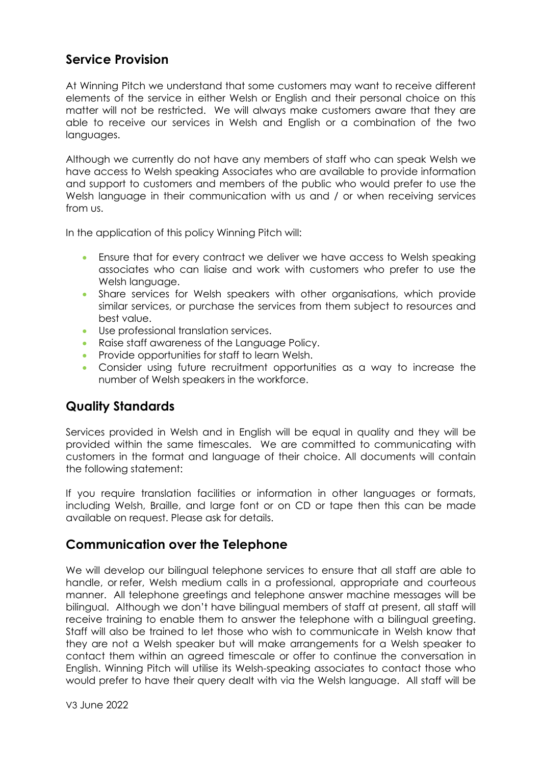# **Service Provision**

At Winning Pitch we understand that some customers may want to receive different elements of the service in either Welsh or English and their personal choice on this matter will not be restricted. We will always make customers aware that they are able to receive our services in Welsh and English or a combination of the two languages.

Although we currently do not have any members of staff who can speak Welsh we have access to Welsh speaking Associates who are available to provide information and support to customers and members of the public who would prefer to use the Welsh language in their communication with us and / or when receiving services from us.

In the application of this policy Winning Pitch will:

- Ensure that for every contract we deliver we have access to Welsh speaking associates who can liaise and work with customers who prefer to use the Welsh language.
- Share services for Welsh speakers with other organisations, which provide similar services, or purchase the services from them subject to resources and best value.
- Use professional translation services.
- Raise staff awareness of the Language Policy.
- Provide opportunities for staff to learn Welsh.
- Consider using future recruitment opportunities as a way to increase the number of Welsh speakers in the workforce.

# **Quality Standards**

Services provided in Welsh and in English will be equal in quality and they will be provided within the same timescales. We are committed to communicating with customers in the format and language of their choice. All documents will contain the following statement:

If you require translation facilities or information in other languages or formats, including Welsh, Braille, and large font or on CD or tape then this can be made available on request. Please ask for details.

# **Communication over the Telephone**

We will develop our bilingual telephone services to ensure that all staff are able to handle, or refer, Welsh medium calls in a professional, appropriate and courteous manner. All telephone greetings and telephone answer machine messages will be bilingual. Although we don't have bilingual members of staff at present, all staff will receive training to enable them to answer the telephone with a bilingual greeting. Staff will also be trained to let those who wish to communicate in Welsh know that they are not a Welsh speaker but will make arrangements for a Welsh speaker to contact them within an agreed timescale or offer to continue the conversation in English. Winning Pitch will utilise its Welsh-speaking associates to contact those who would prefer to have their query dealt with via the Welsh language. All staff will be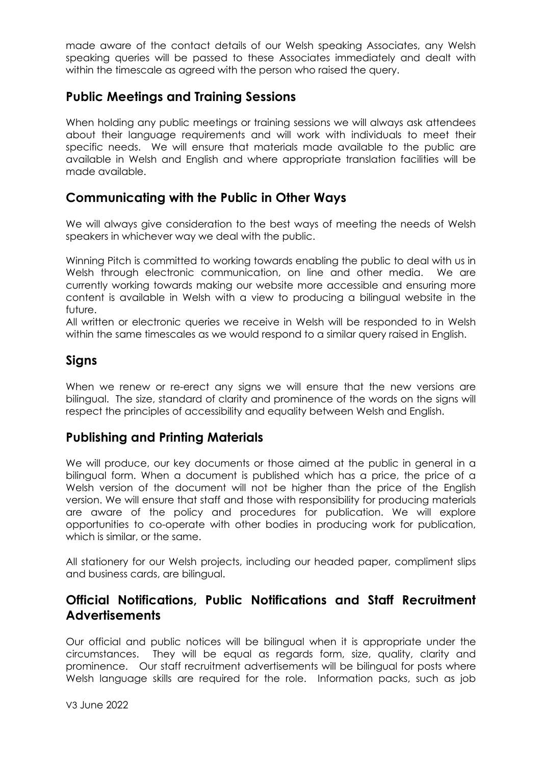made aware of the contact details of our Welsh speaking Associates, any Welsh speaking queries will be passed to these Associates immediately and dealt with within the timescale as agreed with the person who raised the query.

#### **Public Meetings and Training Sessions**

When holding any public meetings or training sessions we will always ask attendees about their language requirements and will work with individuals to meet their specific needs. We will ensure that materials made available to the public are available in Welsh and English and where appropriate translation facilities will be made available.

# **Communicating with the Public in Other Ways**

We will always give consideration to the best ways of meeting the needs of Welsh speakers in whichever way we deal with the public.

Winning Pitch is committed to working towards enabling the public to deal with us in Welsh through electronic communication, on line and other media. We are currently working towards making our website more accessible and ensuring more content is available in Welsh with a view to producing a bilingual website in the future.

All written or electronic queries we receive in Welsh will be responded to in Welsh within the same timescales as we would respond to a similar query raised in English.

# **Signs**

When we renew or re-erect any signs we will ensure that the new versions are bilingual. The size, standard of clarity and prominence of the words on the signs will respect the principles of accessibility and equality between Welsh and English.

# **Publishing and Printing Materials**

We will produce, our key documents or those aimed at the public in general in a bilingual form. When a document is published which has a price, the price of a Welsh version of the document will not be higher than the price of the English version. We will ensure that staff and those with responsibility for producing materials are aware of the policy and procedures for publication. We will explore opportunities to co-operate with other bodies in producing work for publication, which is similar, or the same.

All stationery for our Welsh projects, including our headed paper, compliment slips and business cards, are bilingual.

#### **Official Notifications, Public Notifications and Staff Recruitment Advertisements**

Our official and public notices will be bilingual when it is appropriate under the circumstances. They will be equal as regards form, size, quality, clarity and prominence. Our staff recruitment advertisements will be bilingual for posts where Welsh language skills are required for the role. Information packs, such as job